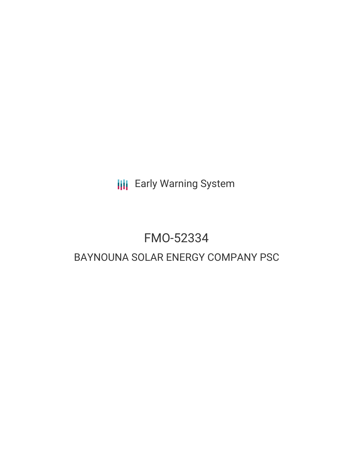**III** Early Warning System

# FMO-52334

# BAYNOUNA SOLAR ENERGY COMPANY PSC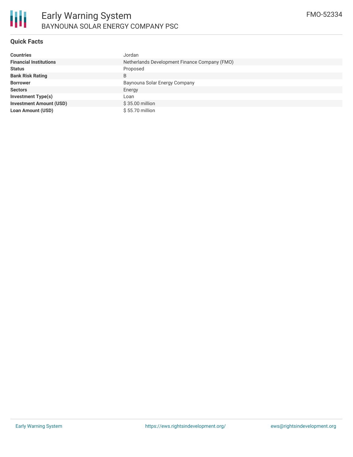

# **Quick Facts**

| <b>Countries</b>               | Jordan                                        |
|--------------------------------|-----------------------------------------------|
| <b>Financial Institutions</b>  | Netherlands Development Finance Company (FMO) |
| <b>Status</b>                  | Proposed                                      |
| <b>Bank Risk Rating</b>        | B                                             |
| <b>Borrower</b>                | Baynouna Solar Energy Company                 |
| <b>Sectors</b>                 | Energy                                        |
| <b>Investment Type(s)</b>      | Loan                                          |
| <b>Investment Amount (USD)</b> | \$35.00 million                               |
| <b>Loan Amount (USD)</b>       | \$55.70 million                               |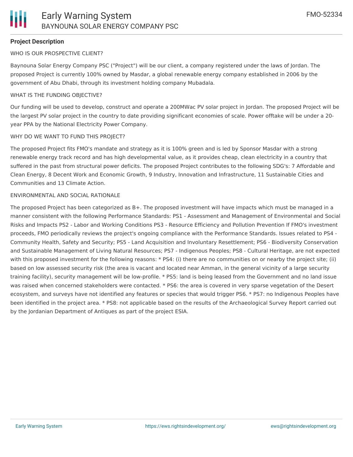# **Project Description**

WHO IS OUR PROSPECTIVE CLIENT?

Baynouna Solar Energy Company PSC ("Project") will be our client, a company registered under the laws of Jordan. The proposed Project is currently 100% owned by Masdar, a global renewable energy company established in 2006 by the government of Abu Dhabi, through its investment holding company Mubadala.

#### WHAT IS THE FUNDING OBJECTIVE?

Our funding will be used to develop, construct and operate a 200MWac PV solar project in Jordan. The proposed Project will be the largest PV solar project in the country to date providing significant economies of scale. Power offtake will be under a 20 year PPA by the National Electricity Power Company.

#### WHY DO WE WANT TO FUND THIS PROJECT?

The proposed Project fits FMO's mandate and strategy as it is 100% green and is led by Sponsor Masdar with a strong renewable energy track record and has high developmental value, as it provides cheap, clean electricity in a country that suffered in the past from structural power deficits. The proposed Project contributes to the following SDG's: 7 Affordable and Clean Energy, 8 Decent Work and Economic Growth, 9 Industry, Innovation and Infrastructure, 11 Sustainable Cities and Communities and 13 Climate Action.

#### ENVIRONMENTAL AND SOCIAL RATIONALE

The proposed Project has been categorized as B+. The proposed investment will have impacts which must be managed in a manner consistent with the following Performance Standards: PS1 - Assessment and Management of Environmental and Social Risks and Impacts PS2 - Labor and Working Conditions PS3 - Resource Efficiency and Pollution Prevention If FMO's investment proceeds, FMO periodically reviews the project's ongoing compliance with the Performance Standards. Issues related to PS4 - Community Health, Safety and Security; PS5 - Land Acquisition and Involuntary Resettlement; PS6 - Biodiversity Conservation and Sustainable Management of Living Natural Resources; PS7 - Indigenous Peoples; PS8 - Cultural Heritage, are not expected with this proposed investment for the following reasons: \* PS4: (i) there are no communities on or nearby the project site; (ii) based on low assessed security risk (the area is vacant and located near Amman, in the general vicinity of a large security training facility), security management will be low-profile. \* PS5: land is being leased from the Government and no land issue was raised when concerned stakeholders were contacted. \* PS6: the area is covered in very sparse vegetation of the Desert ecosystem, and surveys have not identified any features or species that would trigger PS6. \* PS7: no Indigenous Peoples have been identified in the project area. \* PS8: not applicable based on the results of the Archaeological Survey Report carried out by the Jordanian Department of Antiques as part of the project ESIA.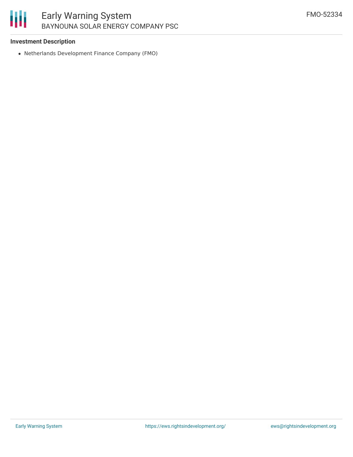# 冊 Early Warning System BAYNOUNA SOLAR ENERGY COMPANY PSC

#### **Investment Description**

Netherlands Development Finance Company (FMO)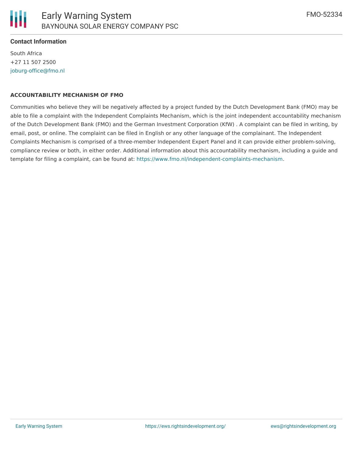South Africa +27 11 507 2500 [joburg-office@fmo.nl](mailto:joburg-office@fmo.nl)

#### **ACCOUNTABILITY MECHANISM OF FMO**

Communities who believe they will be negatively affected by a project funded by the Dutch Development Bank (FMO) may be able to file a complaint with the Independent Complaints Mechanism, which is the joint independent accountability mechanism of the Dutch Development Bank (FMO) and the German Investment Corporation (KfW) . A complaint can be filed in writing, by email, post, or online. The complaint can be filed in English or any other language of the complainant. The Independent Complaints Mechanism is comprised of a three-member Independent Expert Panel and it can provide either problem-solving, compliance review or both, in either order. Additional information about this accountability mechanism, including a guide and template for filing a complaint, can be found at: <https://www.fmo.nl/independent-complaints-mechanism>.